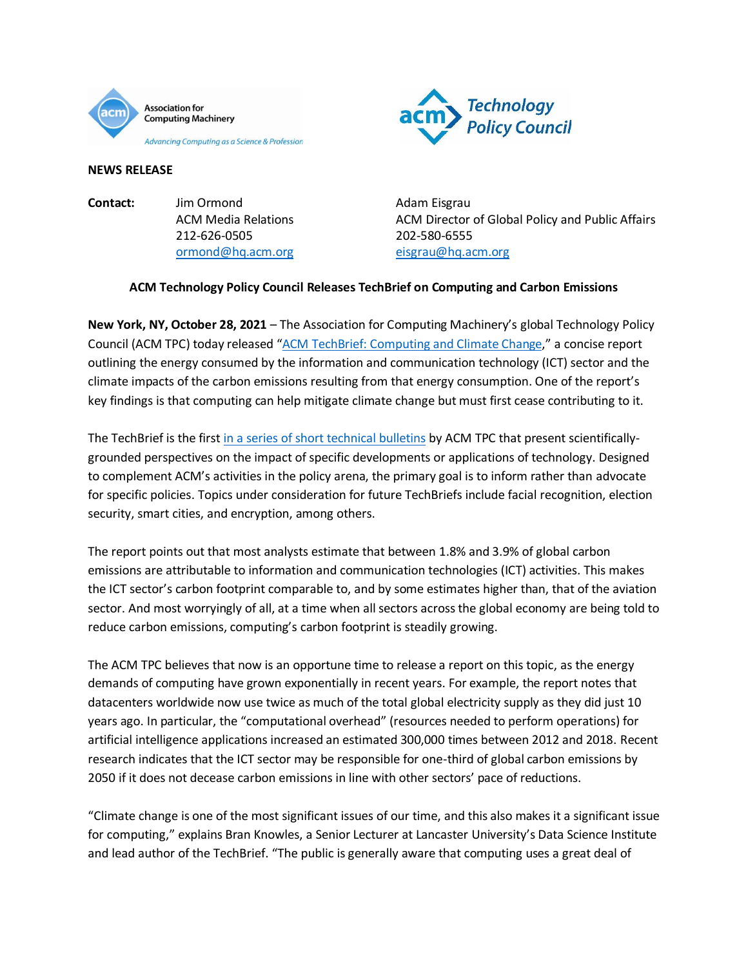

## **NEWS RELEASE**

**Contact:** Jim Ormond Adam Eisgrau 212-626-0505 202-580-6555 [ormond@hq.acm.org](mailto:ormond@hq.acm.org) [eisgrau@hq.acm.org](mailto:eisgrau@hq.acm.org)



ACM Media Relations ACM Director of Global Policy and Public Affairs

## **ACM Technology Policy Council Releases TechBrief on Computing and Carbon Emissions**

**New York, NY, October 28, 2021** – The Association for Computing Machinery's global Technology Policy Council (ACM TPC) today released "[ACM TechBrief: Computing and](https://www.acm.org/binaries/content/assets/public-policy/techbriefs/computing-and-climate-change-nov-2021.pdf) Climate Change," a concise report outlining the energy consumed by the information and communication technology (ICT) sector and the climate impacts of the carbon emissions resulting from that energy consumption. One of the report's key findings is that computing can help mitigate climate change but must first cease contributing to it.

The TechBrief is the first [in a series of short technical bulletins](https://www.acm.org/public-policy/techbriefs) by ACM TPC that present scientificallygrounded perspectives on the impact of specific developments or applications of technology. Designed to complement ACM's activities in the policy arena, the primary goal is to inform rather than advocate for specific policies. Topics under consideration for future TechBriefs include facial recognition, election security, smart cities, and encryption, among others.

The report points out that most analysts estimate that between 1.8% and 3.9% of global carbon emissions are attributable to information and communication technologies (ICT) activities. This makes the ICT sector's carbon footprint comparable to, and by some estimates higher than, that of the aviation sector. And most worryingly of all, at a time when all sectors across the global economy are being told to reduce carbon emissions, computing's carbon footprint is steadily growing.

The ACM TPC believes that now is an opportune time to release a report on this topic, as the energy demands of computing have grown exponentially in recent years. For example, the report notes that datacenters worldwide now use twice as much of the total global electricity supply as they did just 10 years ago. In particular, the "computational overhead" (resources needed to perform operations) for artificial intelligence applications increased an estimated 300,000 times between 2012 and 2018. Recent research indicates that the ICT sector may be responsible for one-third of global carbon emissions by 2050 if it does not decease carbon emissions in line with other sectors' pace of reductions.

"Climate change is one of the most significant issues of our time, and this also makes it a significant issue for computing," explains Bran Knowles, a Senior Lecturer at Lancaster University's Data Science Institute and lead author of the TechBrief. "The public is generally aware that computing uses a great deal of